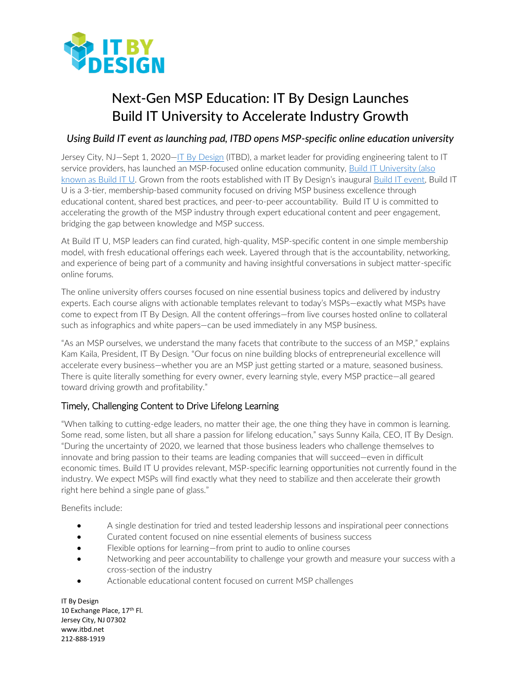

## Next-Gen MSP Education: IT By Design Launches Build IT University to Accelerate Industry Growth

## *Using Build IT event as launching pad, ITBD opens MSP-specific online education university*

Jersey City, NJ—Sept 1, 2020—[IT By Design](https://itbd.net/) (ITBD), a market leader for providing engineering talent to IT service providers, has launched an MSP-focused online education community, Build IT University (also [known as Build IT U.](https://builditu.net/) Grown from the roots established with IT By Design's inaugural [Build IT event,](https://buildit-live.net/) Build IT U is a 3-tier, membership-based community focused on driving MSP business excellence through educational content, shared best practices, and peer-to-peer accountability. Build IT U is committed to accelerating the growth of the MSP industry through expert educational content and peer engagement, bridging the gap between knowledge and MSP success.

At Build IT U, MSP leaders can find curated, high-quality, MSP-specific content in one simple membership model, with fresh educational offerings each week. Layered through that is the accountability, networking, and experience of being part of a community and having insightful conversations in subject matter-specific online forums.

The online university offers courses focused on nine essential business topics and delivered by industry experts. Each course aligns with actionable templates relevant to today's MSPs—exactly what MSPs have come to expect from IT By Design. All the content offerings—from live courses hosted online to collateral such as infographics and white papers—can be used immediately in any MSP business.

"As an MSP ourselves, we understand the many facets that contribute to the success of an MSP," explains Kam Kaila, President, IT By Design. "Our focus on nine building blocks of entrepreneurial excellence will accelerate every business—whether you are an MSP just getting started or a mature, seasoned business. There is quite literally something for every owner, every learning style, every MSP practice—all geared toward driving growth and profitability."

## Timely, Challenging Content to Drive Lifelong Learning

"When talking to cutting-edge leaders, no matter their age, the one thing they have in common is learning. Some read, some listen, but all share a passion for lifelong education," says Sunny Kaila, CEO, IT By Design. "During the uncertainty of 2020, we learned that those business leaders who challenge themselves to innovate and bring passion to their teams are leading companies that will succeed—even in difficult economic times. Build IT U provides relevant, MSP-specific learning opportunities not currently found in the industry. We expect MSPs will find exactly what they need to stabilize and then accelerate their growth right here behind a single pane of glass."

Benefits include:

- A single destination for tried and tested leadership lessons and inspirational peer connections
- Curated content focused on nine essential elements of business success
- Flexible options for learning—from print to audio to online courses
- Networking and peer accountability to challenge your growth and measure your success with a cross-section of the industry
- Actionable educational content focused on current MSP challenges

IT By Design 10 Exchange Place, 17<sup>th</sup> Fl. Jersey City, NJ 07302 www.itbd.net 212-888-1919